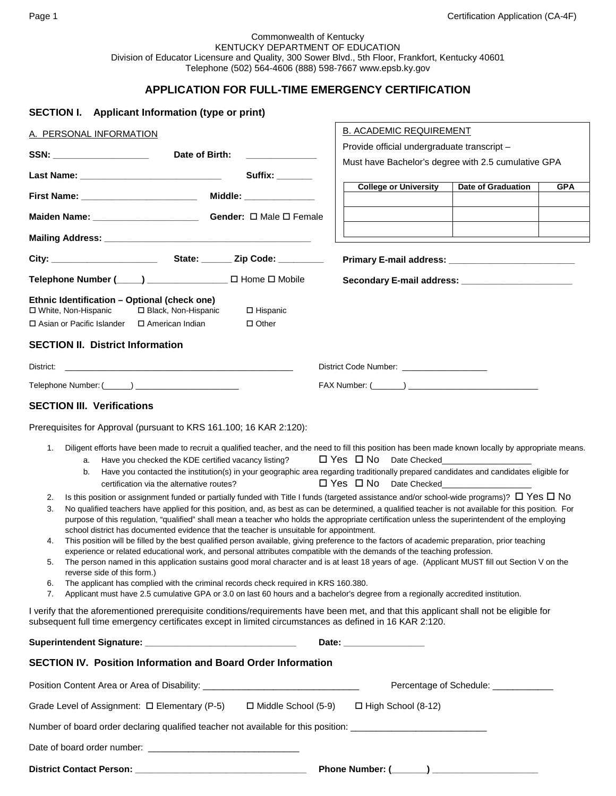#### Commonwealth of Kentucky KENTUCKY DEPARTMENT OF EDUCATION Division of Educator Licensure and Quality, 300 Sower Blvd., 5th Floor, Frankfort, Kentucky 40601 Telephone (502) 564-4606 (888) 598-7667 www.epsb.ky.gov

## **APPLICATION FOR FULL-TIME EMERGENCY CERTIFICATION**

 $\mathsf{r}$ 

## **SECTION I. Applicant Information (type or print)**

| A. PERSONAL INFORMATION                                                                                                                                                                                                                                                                                                                                                                                                                                                                                                                                                                                                                                                                                                                                                                                                                                                                                                                                                                                                                                                                                                                                                                                                                                                                                                                                                                                                                                                                                                                                                                                                                                                                                                                                                                                                                                                                                                                                                                                                                  |                                                                                                    | <b>B. ACADEMIC REQUIREMENT</b>                                          |                                        |            |  |
|------------------------------------------------------------------------------------------------------------------------------------------------------------------------------------------------------------------------------------------------------------------------------------------------------------------------------------------------------------------------------------------------------------------------------------------------------------------------------------------------------------------------------------------------------------------------------------------------------------------------------------------------------------------------------------------------------------------------------------------------------------------------------------------------------------------------------------------------------------------------------------------------------------------------------------------------------------------------------------------------------------------------------------------------------------------------------------------------------------------------------------------------------------------------------------------------------------------------------------------------------------------------------------------------------------------------------------------------------------------------------------------------------------------------------------------------------------------------------------------------------------------------------------------------------------------------------------------------------------------------------------------------------------------------------------------------------------------------------------------------------------------------------------------------------------------------------------------------------------------------------------------------------------------------------------------------------------------------------------------------------------------------------------------|----------------------------------------------------------------------------------------------------|-------------------------------------------------------------------------|----------------------------------------|------------|--|
| SSN: _______________________<br>Date of Birth:                                                                                                                                                                                                                                                                                                                                                                                                                                                                                                                                                                                                                                                                                                                                                                                                                                                                                                                                                                                                                                                                                                                                                                                                                                                                                                                                                                                                                                                                                                                                                                                                                                                                                                                                                                                                                                                                                                                                                                                           | Provide official undergraduate transcript -<br>Must have Bachelor's degree with 2.5 cumulative GPA |                                                                         |                                        |            |  |
|                                                                                                                                                                                                                                                                                                                                                                                                                                                                                                                                                                                                                                                                                                                                                                                                                                                                                                                                                                                                                                                                                                                                                                                                                                                                                                                                                                                                                                                                                                                                                                                                                                                                                                                                                                                                                                                                                                                                                                                                                                          | <b>Suffix:</b> ______                                                                              |                                                                         |                                        |            |  |
| First Name: __________________________                                                                                                                                                                                                                                                                                                                                                                                                                                                                                                                                                                                                                                                                                                                                                                                                                                                                                                                                                                                                                                                                                                                                                                                                                                                                                                                                                                                                                                                                                                                                                                                                                                                                                                                                                                                                                                                                                                                                                                                                   | Middle: ______________                                                                             | <b>College or University</b>                                            | <b>Date of Graduation</b>              | <b>GPA</b> |  |
| Maiden Name: _______________________                                                                                                                                                                                                                                                                                                                                                                                                                                                                                                                                                                                                                                                                                                                                                                                                                                                                                                                                                                                                                                                                                                                                                                                                                                                                                                                                                                                                                                                                                                                                                                                                                                                                                                                                                                                                                                                                                                                                                                                                     | Gender: □ Male □ Female                                                                            |                                                                         |                                        |            |  |
|                                                                                                                                                                                                                                                                                                                                                                                                                                                                                                                                                                                                                                                                                                                                                                                                                                                                                                                                                                                                                                                                                                                                                                                                                                                                                                                                                                                                                                                                                                                                                                                                                                                                                                                                                                                                                                                                                                                                                                                                                                          |                                                                                                    |                                                                         |                                        |            |  |
|                                                                                                                                                                                                                                                                                                                                                                                                                                                                                                                                                                                                                                                                                                                                                                                                                                                                                                                                                                                                                                                                                                                                                                                                                                                                                                                                                                                                                                                                                                                                                                                                                                                                                                                                                                                                                                                                                                                                                                                                                                          |                                                                                                    |                                                                         |                                        |            |  |
| Telephone Number (_____) _______________ □ Home □ Mobile                                                                                                                                                                                                                                                                                                                                                                                                                                                                                                                                                                                                                                                                                                                                                                                                                                                                                                                                                                                                                                                                                                                                                                                                                                                                                                                                                                                                                                                                                                                                                                                                                                                                                                                                                                                                                                                                                                                                                                                 |                                                                                                    |                                                                         |                                        |            |  |
| Ethnic Identification - Optional (check one)<br>□ White, Non-Hispanic<br>□ Black, Non-Hispanic<br>$\Box$ Asian or Pacific Islander<br>□ American Indian<br><b>SECTION II. District Information</b>                                                                                                                                                                                                                                                                                                                                                                                                                                                                                                                                                                                                                                                                                                                                                                                                                                                                                                                                                                                                                                                                                                                                                                                                                                                                                                                                                                                                                                                                                                                                                                                                                                                                                                                                                                                                                                       | $\Box$ Hispanic<br>$\Box$ Other                                                                    |                                                                         |                                        |            |  |
| District:                                                                                                                                                                                                                                                                                                                                                                                                                                                                                                                                                                                                                                                                                                                                                                                                                                                                                                                                                                                                                                                                                                                                                                                                                                                                                                                                                                                                                                                                                                                                                                                                                                                                                                                                                                                                                                                                                                                                                                                                                                |                                                                                                    | District Code Number: ____________________                              |                                        |            |  |
|                                                                                                                                                                                                                                                                                                                                                                                                                                                                                                                                                                                                                                                                                                                                                                                                                                                                                                                                                                                                                                                                                                                                                                                                                                                                                                                                                                                                                                                                                                                                                                                                                                                                                                                                                                                                                                                                                                                                                                                                                                          |                                                                                                    | $FAX$ Number: $($                                                       |                                        |            |  |
| <b>SECTION III. Verifications</b>                                                                                                                                                                                                                                                                                                                                                                                                                                                                                                                                                                                                                                                                                                                                                                                                                                                                                                                                                                                                                                                                                                                                                                                                                                                                                                                                                                                                                                                                                                                                                                                                                                                                                                                                                                                                                                                                                                                                                                                                        |                                                                                                    |                                                                         |                                        |            |  |
| Prerequisites for Approval (pursuant to KRS 161.100; 16 KAR 2:120):<br>Diligent efforts have been made to recruit a qualified teacher, and the need to fill this position has been made known locally by appropriate means.<br>1.<br>Have you checked the KDE certified vacancy listing?<br>a.<br>Have you contacted the institution(s) in your geographic area regarding traditionally prepared candidates and candidates eligible for<br>b.<br>certification via the alternative routes?<br>Is this position or assignment funded or partially funded with Title I funds (targeted assistance and/or school-wide programs)? $\Box$ Yes $\Box$ No<br>2.<br>No qualified teachers have applied for this position, and, as best as can be determined, a qualified teacher is not available for this position. For<br>3.<br>purpose of this regulation, "qualified" shall mean a teacher who holds the appropriate certification unless the superintendent of the employing<br>school district has documented evidence that the teacher is unsuitable for appointment.<br>This position will be filled by the best qualified person available, giving preference to the factors of academic preparation, prior teaching<br>4.<br>experience or related educational work, and personal attributes compatible with the demands of the teaching profession.<br>The person named in this application sustains good moral character and is at least 18 years of age. (Applicant MUST fill out Section V on the<br>5.<br>reverse side of this form.)<br>The applicant has complied with the criminal records check required in KRS 160.380.<br>6.<br>Applicant must have 2.5 cumulative GPA or 3.0 on last 60 hours and a bachelor's degree from a regionally accredited institution.<br>7.<br>I verify that the aforementioned prerequisite conditions/requirements have been met, and that this applicant shall not be eligible for<br>subsequent full time emergency certificates except in limited circumstances as defined in 16 KAR 2:120. |                                                                                                    | $\Box$ Yes $\Box$ No Date Checked<br>□ Yes □ No Date Checked___________ |                                        |            |  |
|                                                                                                                                                                                                                                                                                                                                                                                                                                                                                                                                                                                                                                                                                                                                                                                                                                                                                                                                                                                                                                                                                                                                                                                                                                                                                                                                                                                                                                                                                                                                                                                                                                                                                                                                                                                                                                                                                                                                                                                                                                          |                                                                                                    | Date: ___________________                                               |                                        |            |  |
| <b>SECTION IV. Position Information and Board Order Information</b>                                                                                                                                                                                                                                                                                                                                                                                                                                                                                                                                                                                                                                                                                                                                                                                                                                                                                                                                                                                                                                                                                                                                                                                                                                                                                                                                                                                                                                                                                                                                                                                                                                                                                                                                                                                                                                                                                                                                                                      |                                                                                                    |                                                                         |                                        |            |  |
| Position Content Area or Area of Disability: ___________________________________                                                                                                                                                                                                                                                                                                                                                                                                                                                                                                                                                                                                                                                                                                                                                                                                                                                                                                                                                                                                                                                                                                                                                                                                                                                                                                                                                                                                                                                                                                                                                                                                                                                                                                                                                                                                                                                                                                                                                         |                                                                                                    |                                                                         | Percentage of Schedule: ______________ |            |  |
| Grade Level of Assignment: $\Box$ Elementary (P-5) $\Box$ Middle School (5-9) $\Box$ High School (8-12)                                                                                                                                                                                                                                                                                                                                                                                                                                                                                                                                                                                                                                                                                                                                                                                                                                                                                                                                                                                                                                                                                                                                                                                                                                                                                                                                                                                                                                                                                                                                                                                                                                                                                                                                                                                                                                                                                                                                  |                                                                                                    |                                                                         |                                        |            |  |
| Number of board order declaring qualified teacher not available for this position: ___________________________                                                                                                                                                                                                                                                                                                                                                                                                                                                                                                                                                                                                                                                                                                                                                                                                                                                                                                                                                                                                                                                                                                                                                                                                                                                                                                                                                                                                                                                                                                                                                                                                                                                                                                                                                                                                                                                                                                                           |                                                                                                    |                                                                         |                                        |            |  |
|                                                                                                                                                                                                                                                                                                                                                                                                                                                                                                                                                                                                                                                                                                                                                                                                                                                                                                                                                                                                                                                                                                                                                                                                                                                                                                                                                                                                                                                                                                                                                                                                                                                                                                                                                                                                                                                                                                                                                                                                                                          |                                                                                                    |                                                                         |                                        |            |  |
|                                                                                                                                                                                                                                                                                                                                                                                                                                                                                                                                                                                                                                                                                                                                                                                                                                                                                                                                                                                                                                                                                                                                                                                                                                                                                                                                                                                                                                                                                                                                                                                                                                                                                                                                                                                                                                                                                                                                                                                                                                          |                                                                                                    |                                                                         |                                        |            |  |